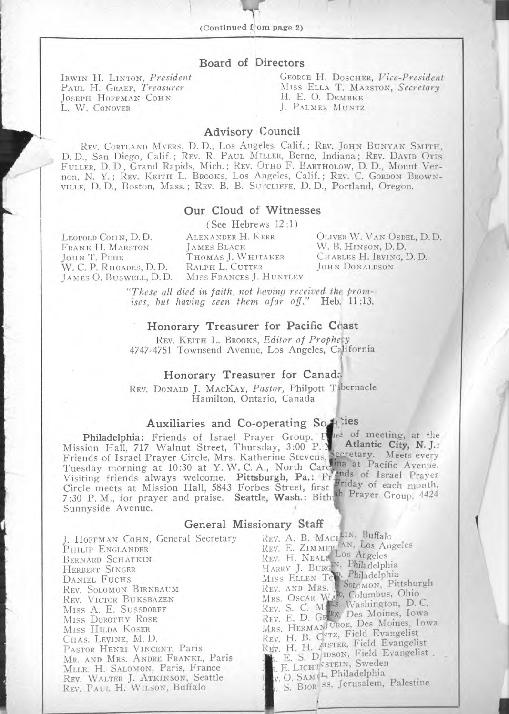## Board of Directors

JOSEPH HOFFMAN COHN<br>L. W. CONOVER

IRWIN H. LINTON, *President* **GEORGE H. DOSCHER,** *Vice-President* Paul H. Graef, *Treasurer* **MISS** ELLA T. MARSTON, *Secretary* MISS ELLA T. MARSTON, *Secretary* H. E. O. DEMBKE L. PALMER MUNTZ

## Advisory Council

REV. CORTLAND MYERS, D. D. Los Angeles, Calif. ; REV. JOHN BUNYAN SMITH, D. D., San Diego, Calif. ; REV. R. PAUL MILLER, Berne, Indiana ; REV. DAVID OTIS FULLER, D. D., Grand Rapids, Mich. ; REV. OTHO F. BARTHOLOW, D. D., Mount Vernon, N. Y. ; REV. KEITH L. BROOKS, Los Angeles, Calif. ; REV. C. GORDON BROWN-VILLE, D. D., Boston, Mass.; REV. B. B. SU CLIFFE, D. D., Portland, Oregon.

## Our Cloud of Witnesses

(See Hebrews 12 :1)

LEOPOLD COHN, D. D. FRANK H. MARSTON JOHN T. PIRIE W. C. P. RHOADES, D. D. JAMES 0. BUSWELL, D.D. ALEXANDER H. KERR JAMES BLACK THOMAS J. WHITAKER RALPH L. CUTTER MISS FRANCES J. HUNTLEY

OLIVER W. VAN OSDEL, D. D. W. B. HINSON, D.D. CHARLES H. IRVING, D. D. JOHN DONALDSON

)

*"These all died* in *faith, not having received thc promises, but having seen them afar off."* Heb. 11:13.

## Honorary Treasurer for Pacific Chast

REV. KEITH L. BROOKS, *Editor of Prophety* 4747-4751 Townsend Avenue, Los Angeles, California

### Honorary Treasurer for Cana&

REV. DONALD J. MACKAY, *Pastor,* Philpott Tabernacle Hamilton, Ontario, Canada

#### Auxiliaries and Co-operating So  $L$  : ies

Philadelphia: Friends of Israel Prayer Group, Mission Hall, 717 Walnut Street, Thursday, 3:00 P. Friends of Israel Prayer Circle, Mrs. Katherine Stevens, Tuesday morning at 10:30 at Y. W. C. A., North Carcl Visiting friends always welcome. Pittsburgh, Pa.: Fr. Circle meets at Mission Hall, 5843 Forbes Street, first 7:30 P. M., for prayer and praise. Seattle, Wash.: Bith Sunnyside Avenue. c. of meeting, at the Atlantic City, N. J.: Frid<br>ah etary. Meets every a at Pacific Avenue. ds of Israel Prayer<br>iday of each month, Prayer Group, 4424

## General Missionary Staff

J. HOFFMAN COHN, General Secretary PHILIP ENGLANDER BERNARD SCHATKIN HERBERT SINGER DANIEL FUCHS REV. SOLOMON BIRNBAUM REV. VICTOR BUKSBAZEN MISS A. E. SUSSDORFF MISS DOROTHY ROSE MISS HILDA KOSER CHAS. LEVINE, M. D. PASTOR HENRI VINCENT, Paris MR. AND MRS. ANDRE FRANKL, Paris MLLE. H. SALOMON, Paris, France REV. WALTER J. ATKINSON, Seattle REv. PAUL H. WILSON, Buffalo REV. A. B. Mac REV. E. ZIMMF REv. H. NEAL HARRY J. BURG MISS ELLEN TC' REV. AND MRS. MRS. OSCAR REV. S. C. M Rev. E. D. Gi MRS. HERMAN UROE, Des Moines, Iowa NEW. H. B. Cyrz, Field Evangelist<br>Rev. H. B. Cyrzn, Field Evangelis REv. H. H. 1427 R. E. LICHT<sup>VSTEIN, Sweden</sup> V. O. SAM<sub>L</sub>L, Philadelphia . S. BIOR'SS, Jerusalem, Palestine <sup>IN, Buffalo</sup><br>W, Los Angeles os Angeles Philadelphia Philadelphia<br>Solomon, Pittsburgh<br>, Columbus, Ohio<br>Washington, D. C. Des Moines, Iowa ISTER, Field Evangelist IDSON, Field Evangelist .